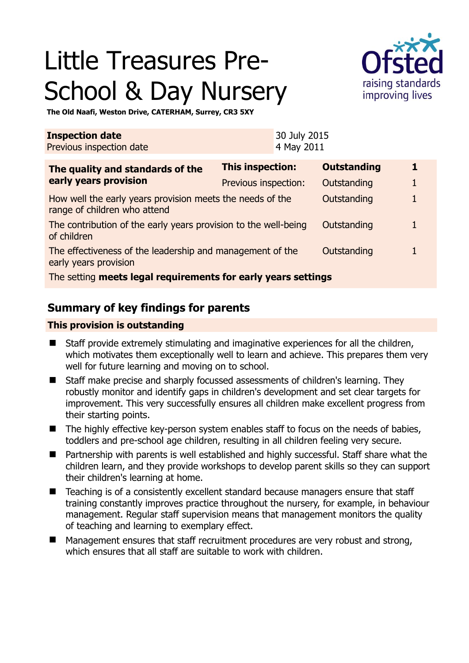# Little Treasures Pre-School & Day Nursery



**The Old Naafi, Weston Drive, CATERHAM, Surrey, CR3 5XY** 

| <b>Inspection date</b><br>Previous inspection date                                        |                      | 30 July 2015<br>4 May 2011 |                    |  |
|-------------------------------------------------------------------------------------------|----------------------|----------------------------|--------------------|--|
| The quality and standards of the<br>early years provision                                 | This inspection:     |                            | <b>Outstanding</b> |  |
|                                                                                           | Previous inspection: |                            | Outstanding        |  |
| How well the early years provision meets the needs of the<br>range of children who attend |                      |                            | Outstanding        |  |
| The contribution of the early years provision to the well-being<br>of children            |                      |                            | Outstanding        |  |
| The effectiveness of the leadership and management of the<br>early years provision        |                      |                            | Outstanding        |  |
| The setting meets legal requirements for early years settings                             |                      |                            |                    |  |

# **Summary of key findings for parents**

#### **This provision is outstanding**

- Staff provide extremely stimulating and imaginative experiences for all the children, which motivates them exceptionally well to learn and achieve. This prepares them very well for future learning and moving on to school.
- Staff make precise and sharply focussed assessments of children's learning. They robustly monitor and identify gaps in children's development and set clear targets for improvement. This very successfully ensures all children make excellent progress from their starting points.
- The highly effective key-person system enables staff to focus on the needs of babies, toddlers and pre-school age children, resulting in all children feeling very secure.
- Partnership with parents is well established and highly successful. Staff share what the children learn, and they provide workshops to develop parent skills so they can support their children's learning at home.
- Teaching is of a consistently excellent standard because managers ensure that staff training constantly improves practice throughout the nursery, for example, in behaviour management. Regular staff supervision means that management monitors the quality of teaching and learning to exemplary effect.
- Management ensures that staff recruitment procedures are very robust and strong, which ensures that all staff are suitable to work with children.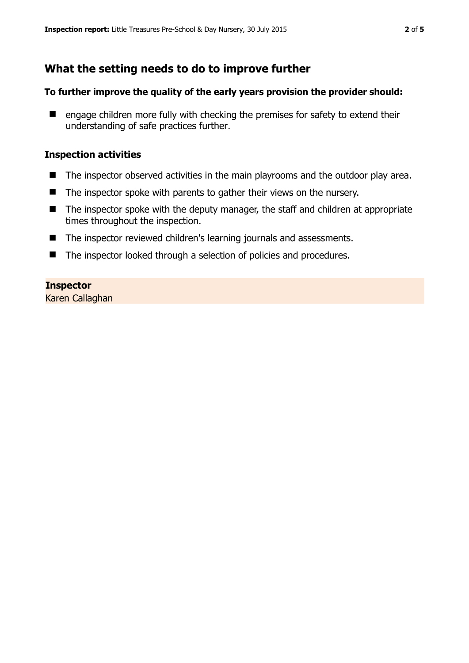# **What the setting needs to do to improve further**

#### **To further improve the quality of the early years provision the provider should:**

 $\blacksquare$  engage children more fully with checking the premises for safety to extend their understanding of safe practices further.

#### **Inspection activities**

- The inspector observed activities in the main playrooms and the outdoor play area.
- The inspector spoke with parents to gather their views on the nursery.
- The inspector spoke with the deputy manager, the staff and children at appropriate times throughout the inspection.
- The inspector reviewed children's learning journals and assessments.
- The inspector looked through a selection of policies and procedures.

#### **Inspector**

Karen Callaghan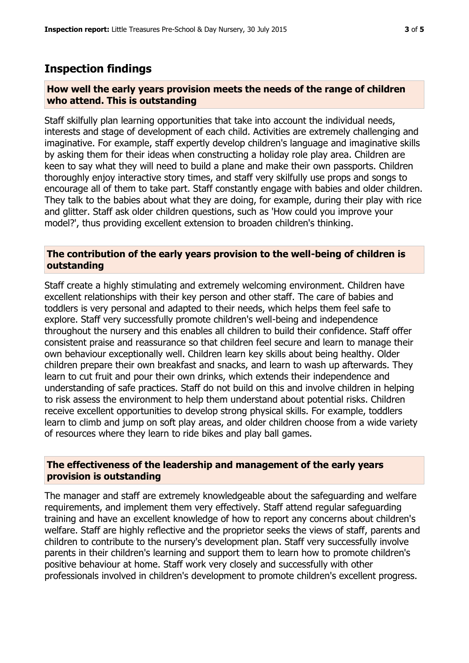### **Inspection findings**

#### **How well the early years provision meets the needs of the range of children who attend. This is outstanding**

Staff skilfully plan learning opportunities that take into account the individual needs, interests and stage of development of each child. Activities are extremely challenging and imaginative. For example, staff expertly develop children's language and imaginative skills by asking them for their ideas when constructing a holiday role play area. Children are keen to say what they will need to build a plane and make their own passports. Children thoroughly enjoy interactive story times, and staff very skilfully use props and songs to encourage all of them to take part. Staff constantly engage with babies and older children. They talk to the babies about what they are doing, for example, during their play with rice and glitter. Staff ask older children questions, such as 'How could you improve your model?', thus providing excellent extension to broaden children's thinking.

#### **The contribution of the early years provision to the well-being of children is outstanding**

Staff create a highly stimulating and extremely welcoming environment. Children have excellent relationships with their key person and other staff. The care of babies and toddlers is very personal and adapted to their needs, which helps them feel safe to explore. Staff very successfully promote children's well-being and independence throughout the nursery and this enables all children to build their confidence. Staff offer consistent praise and reassurance so that children feel secure and learn to manage their own behaviour exceptionally well. Children learn key skills about being healthy. Older children prepare their own breakfast and snacks, and learn to wash up afterwards. They learn to cut fruit and pour their own drinks, which extends their independence and understanding of safe practices. Staff do not build on this and involve children in helping to risk assess the environment to help them understand about potential risks. Children receive excellent opportunities to develop strong physical skills. For example, toddlers learn to climb and jump on soft play areas, and older children choose from a wide variety of resources where they learn to ride bikes and play ball games.

#### **The effectiveness of the leadership and management of the early years provision is outstanding**

The manager and staff are extremely knowledgeable about the safeguarding and welfare requirements, and implement them very effectively. Staff attend regular safeguarding training and have an excellent knowledge of how to report any concerns about children's welfare. Staff are highly reflective and the proprietor seeks the views of staff, parents and children to contribute to the nursery's development plan. Staff very successfully involve parents in their children's learning and support them to learn how to promote children's positive behaviour at home. Staff work very closely and successfully with other professionals involved in children's development to promote children's excellent progress.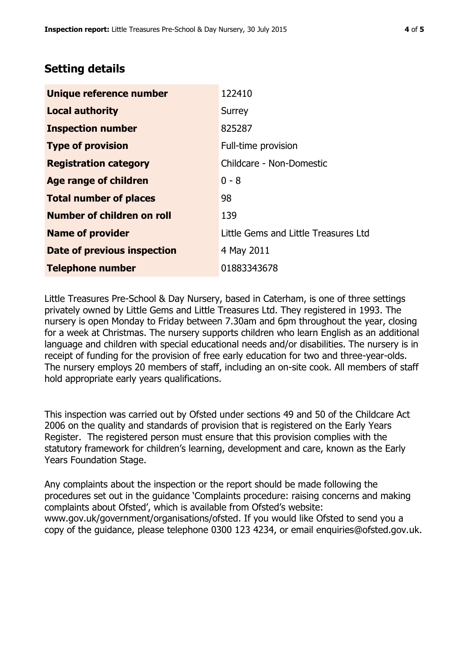## **Setting details**

| Unique reference number       | 122410                               |  |
|-------------------------------|--------------------------------------|--|
| <b>Local authority</b>        | Surrey                               |  |
| <b>Inspection number</b>      | 825287                               |  |
| <b>Type of provision</b>      | Full-time provision                  |  |
| <b>Registration category</b>  | Childcare - Non-Domestic             |  |
| Age range of children         | $0 - 8$                              |  |
| <b>Total number of places</b> | 98                                   |  |
| Number of children on roll    | 139                                  |  |
| <b>Name of provider</b>       | Little Gems and Little Treasures Ltd |  |
| Date of previous inspection   | 4 May 2011                           |  |
| <b>Telephone number</b>       | 01883343678                          |  |

Little Treasures Pre-School & Day Nursery, based in Caterham, is one of three settings privately owned by Little Gems and Little Treasures Ltd. They registered in 1993. The nursery is open Monday to Friday between 7.30am and 6pm throughout the year, closing for a week at Christmas. The nursery supports children who learn English as an additional language and children with special educational needs and/or disabilities. The nursery is in receipt of funding for the provision of free early education for two and three-year-olds. The nursery employs 20 members of staff, including an on-site cook. All members of staff hold appropriate early years qualifications.

This inspection was carried out by Ofsted under sections 49 and 50 of the Childcare Act 2006 on the quality and standards of provision that is registered on the Early Years Register. The registered person must ensure that this provision complies with the statutory framework for children's learning, development and care, known as the Early Years Foundation Stage.

Any complaints about the inspection or the report should be made following the procedures set out in the guidance 'Complaints procedure: raising concerns and making complaints about Ofsted', which is available from Ofsted's website: www.gov.uk/government/organisations/ofsted. If you would like Ofsted to send you a copy of the guidance, please telephone 0300 123 4234, or email enquiries@ofsted.gov.uk.